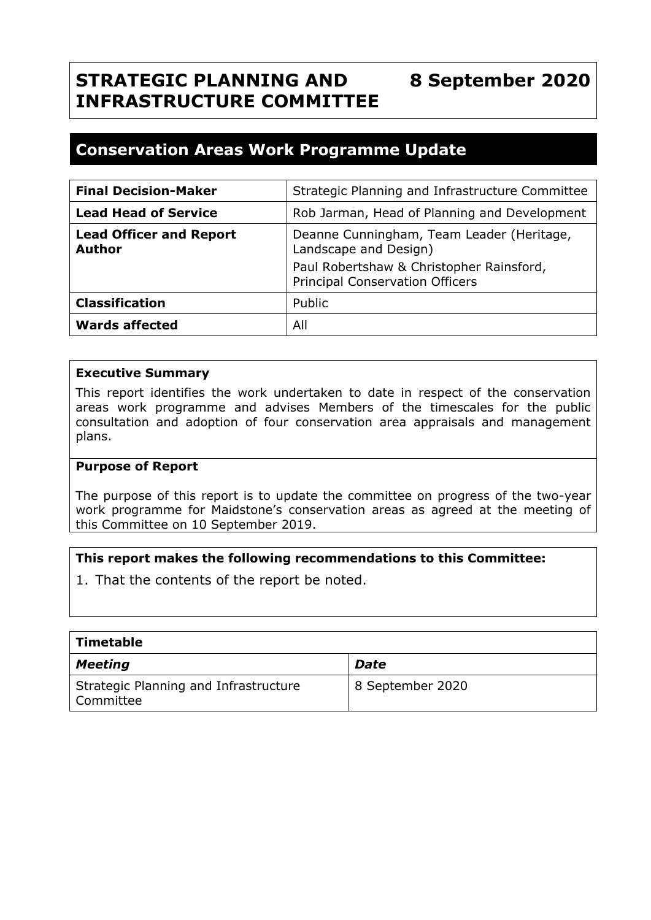#### **STRATEGIC PLANNING AND INFRASTRUCTURE COMMITTEE 8 September 2020**

# **Conservation Areas Work Programme Update**

| <b>Final Decision-Maker</b>              | Strategic Planning and Infrastructure Committee                                    |
|------------------------------------------|------------------------------------------------------------------------------------|
| <b>Lead Head of Service</b>              | Rob Jarman, Head of Planning and Development                                       |
| <b>Lead Officer and Report</b><br>Author | Deanne Cunningham, Team Leader (Heritage,<br>Landscape and Design)                 |
|                                          | Paul Robertshaw & Christopher Rainsford,<br><b>Principal Conservation Officers</b> |
| <b>Classification</b>                    | Public                                                                             |
| <b>Wards affected</b>                    | All                                                                                |

#### **Executive Summary**

This report identifies the work undertaken to date in respect of the conservation areas work programme and advises Members of the timescales for the public consultation and adoption of four conservation area appraisals and management plans.

#### **Purpose of Report**

The purpose of this report is to update the committee on progress of the two-year work programme for Maidstone's conservation areas as agreed at the meeting of this Committee on 10 September 2019.

#### **This report makes the following recommendations to this Committee:**

1. That the contents of the report be noted.

| Timetable                                          |                  |
|----------------------------------------------------|------------------|
| <b>Meeting</b>                                     | <b>Date</b>      |
| Strategic Planning and Infrastructure<br>Committee | 8 September 2020 |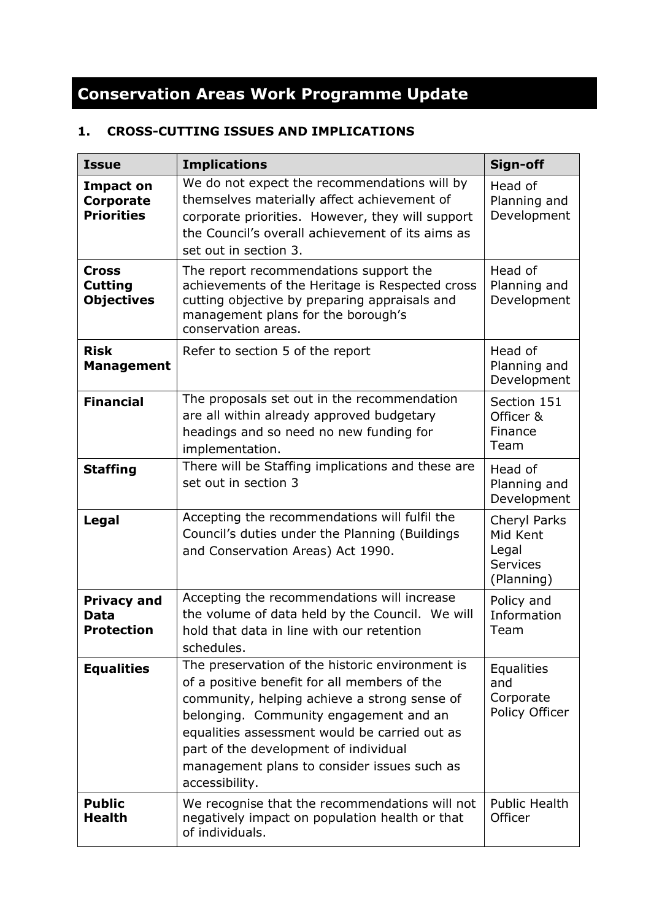# **Conservation Areas Work Programme Update**

# **1. CROSS-CUTTING ISSUES AND IMPLICATIONS**

| <b>Issue</b>                                              | <b>Implications</b>                                                                                                                                                                                                                                                                                                                                  | Sign-off                                                           |
|-----------------------------------------------------------|------------------------------------------------------------------------------------------------------------------------------------------------------------------------------------------------------------------------------------------------------------------------------------------------------------------------------------------------------|--------------------------------------------------------------------|
| <b>Impact on</b><br><b>Corporate</b><br><b>Priorities</b> | We do not expect the recommendations will by<br>themselves materially affect achievement of<br>corporate priorities. However, they will support<br>the Council's overall achievement of its aims as<br>set out in section 3.                                                                                                                         | Head of<br>Planning and<br>Development                             |
| <b>Cross</b><br><b>Cutting</b><br><b>Objectives</b>       | The report recommendations support the<br>achievements of the Heritage is Respected cross<br>cutting objective by preparing appraisals and<br>management plans for the borough's<br>conservation areas.                                                                                                                                              | Head of<br>Planning and<br>Development                             |
| <b>Risk</b><br><b>Management</b>                          | Refer to section 5 of the report                                                                                                                                                                                                                                                                                                                     | Head of<br>Planning and<br>Development                             |
| <b>Financial</b>                                          | The proposals set out in the recommendation<br>are all within already approved budgetary<br>headings and so need no new funding for<br>implementation.                                                                                                                                                                                               | Section 151<br>Officer &<br>Finance<br>Team                        |
| <b>Staffing</b>                                           | There will be Staffing implications and these are<br>set out in section 3                                                                                                                                                                                                                                                                            | Head of<br>Planning and<br>Development                             |
| Legal                                                     | Accepting the recommendations will fulfil the<br>Council's duties under the Planning (Buildings<br>and Conservation Areas) Act 1990.                                                                                                                                                                                                                 | Cheryl Parks<br>Mid Kent<br>Legal<br><b>Services</b><br>(Planning) |
| <b>Privacy and</b><br><b>Data</b><br><b>Protection</b>    | Accepting the recommendations will increase<br>the volume of data held by the Council. We will<br>hold that data in line with our retention<br>schedules.                                                                                                                                                                                            | Policy and<br>Information<br>Team                                  |
| <b>Equalities</b>                                         | The preservation of the historic environment is<br>of a positive benefit for all members of the<br>community, helping achieve a strong sense of<br>belonging. Community engagement and an<br>equalities assessment would be carried out as<br>part of the development of individual<br>management plans to consider issues such as<br>accessibility. | <b>Equalities</b><br>and<br>Corporate<br>Policy Officer            |
| <b>Public</b><br><b>Health</b>                            | We recognise that the recommendations will not<br>negatively impact on population health or that<br>of individuals.                                                                                                                                                                                                                                  | <b>Public Health</b><br>Officer                                    |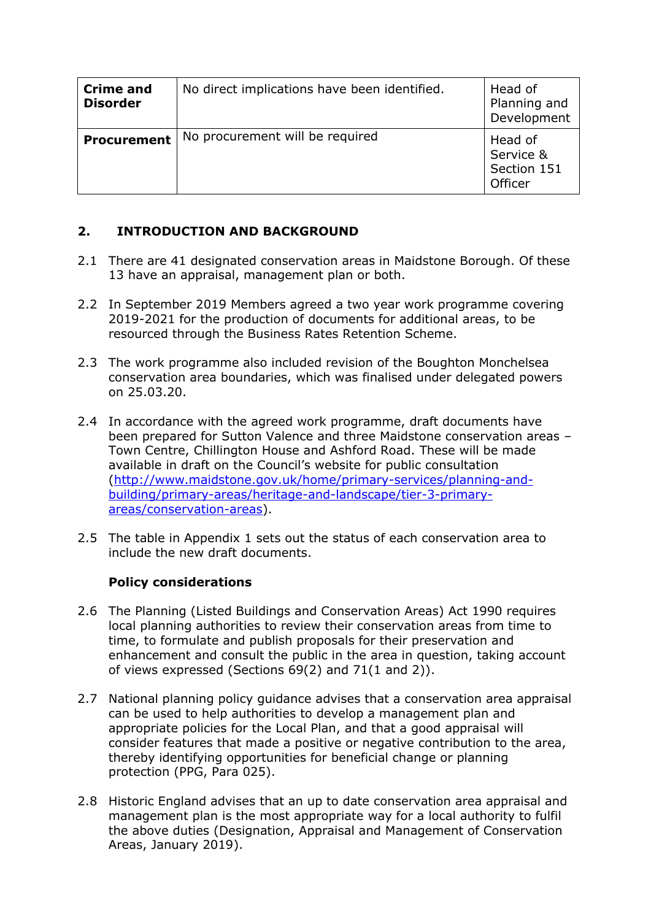| <b>Crime and</b><br><b>Disorder</b> | No direct implications have been identified. | Head of<br>Planning and<br>Development         |
|-------------------------------------|----------------------------------------------|------------------------------------------------|
| <b>Procurement</b>                  | No procurement will be required              | Head of<br>Service &<br>Section 151<br>Officer |

# **2. INTRODUCTION AND BACKGROUND**

- 2.1 There are 41 designated conservation areas in Maidstone Borough. Of these 13 have an appraisal, management plan or both.
- 2.2 In September 2019 Members agreed a two year work programme covering 2019-2021 for the production of documents for additional areas, to be resourced through the Business Rates Retention Scheme.
- 2.3 The work programme also included revision of the Boughton Monchelsea conservation area boundaries, which was finalised under delegated powers on 25.03.20.
- 2.4 In accordance with the agreed work programme, draft documents have been prepared for Sutton Valence and three Maidstone conservation areas – Town Centre, Chillington House and Ashford Road. These will be made available in draft on the Council's website for public consultation [\(http://www.maidstone.gov.uk/home/primary-services/planning-and](http://www.maidstone.gov.uk/home/primary-services/planning-and-building/primary-areas/heritage-and-landscape/tier-3-primary-areas/conservation-areas)[building/primary-areas/heritage-and-landscape/tier-3-primary](http://www.maidstone.gov.uk/home/primary-services/planning-and-building/primary-areas/heritage-and-landscape/tier-3-primary-areas/conservation-areas)[areas/conservation-areas\)](http://www.maidstone.gov.uk/home/primary-services/planning-and-building/primary-areas/heritage-and-landscape/tier-3-primary-areas/conservation-areas).
- 2.5 The table in Appendix 1 sets out the status of each conservation area to include the new draft documents.

# **Policy considerations**

- 2.6 The Planning (Listed Buildings and Conservation Areas) Act 1990 requires local planning authorities to review their conservation areas from time to time, to formulate and publish proposals for their preservation and enhancement and consult the public in the area in question, taking account of views expressed (Sections 69(2) and 71(1 and 2)).
- 2.7 National planning policy guidance advises that a conservation area appraisal can be used to help authorities to develop a management plan and appropriate policies for the Local Plan, and that a good appraisal will consider features that made a positive or negative contribution to the area, thereby identifying opportunities for beneficial change or planning protection (PPG, Para 025).
- 2.8 Historic England advises that an up to date conservation area appraisal and management plan is the most appropriate way for a local authority to fulfil the above duties (Designation, Appraisal and Management of Conservation Areas, January 2019).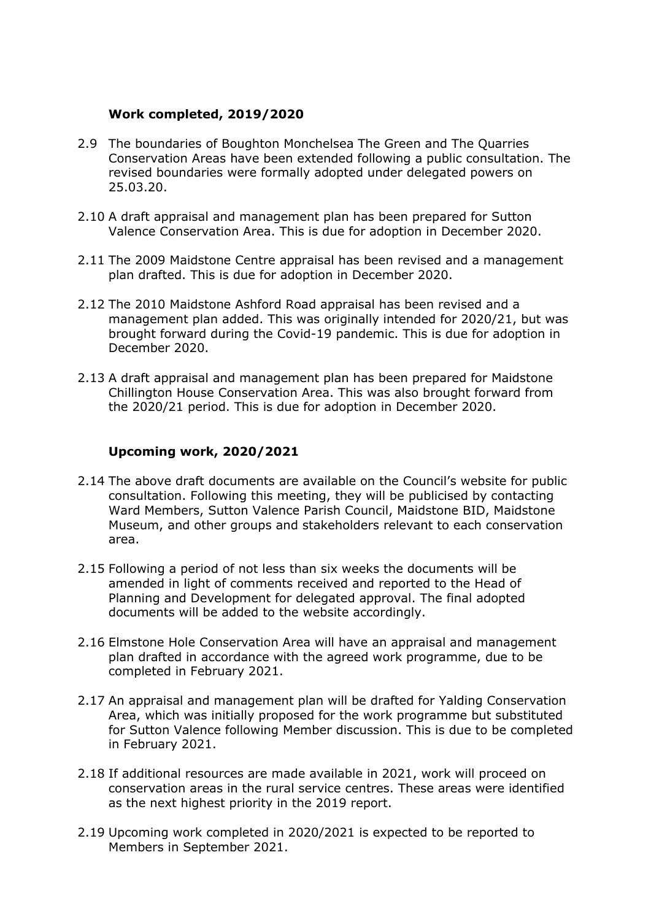#### **Work completed, 2019/2020**

- 2.9 The boundaries of Boughton Monchelsea The Green and The Quarries Conservation Areas have been extended following a public consultation. The revised boundaries were formally adopted under delegated powers on 25.03.20.
- 2.10 A draft appraisal and management plan has been prepared for Sutton Valence Conservation Area. This is due for adoption in December 2020.
- 2.11 The 2009 Maidstone Centre appraisal has been revised and a management plan drafted. This is due for adoption in December 2020.
- 2.12 The 2010 Maidstone Ashford Road appraisal has been revised and a management plan added. This was originally intended for 2020/21, but was brought forward during the Covid-19 pandemic. This is due for adoption in December 2020.
- 2.13 A draft appraisal and management plan has been prepared for Maidstone Chillington House Conservation Area. This was also brought forward from the 2020/21 period. This is due for adoption in December 2020.

#### **Upcoming work, 2020/2021**

- 2.14 The above draft documents are available on the Council's website for public consultation. Following this meeting, they will be publicised by contacting Ward Members, Sutton Valence Parish Council, Maidstone BID, Maidstone Museum, and other groups and stakeholders relevant to each conservation area.
- 2.15 Following a period of not less than six weeks the documents will be amended in light of comments received and reported to the Head of Planning and Development for delegated approval. The final adopted documents will be added to the website accordingly.
- 2.16 Elmstone Hole Conservation Area will have an appraisal and management plan drafted in accordance with the agreed work programme, due to be completed in February 2021.
- 2.17 An appraisal and management plan will be drafted for Yalding Conservation Area, which was initially proposed for the work programme but substituted for Sutton Valence following Member discussion. This is due to be completed in February 2021.
- 2.18 If additional resources are made available in 2021, work will proceed on conservation areas in the rural service centres. These areas were identified as the next highest priority in the 2019 report.
- 2.19 Upcoming work completed in 2020/2021 is expected to be reported to Members in September 2021.